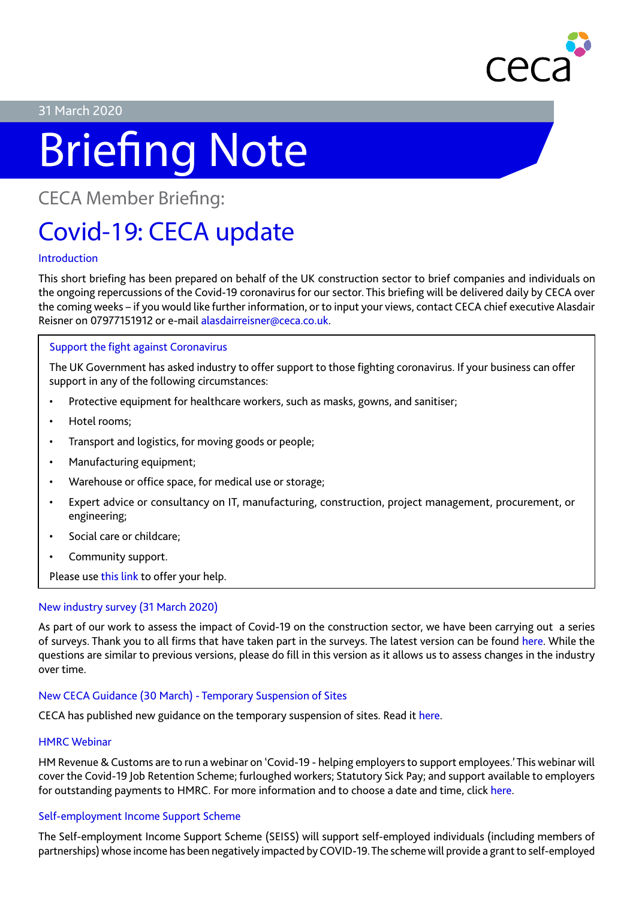

### 31 March 2020

# Briefing Note

CECA Member Briefing:

## Covid-19: CECA update

#### Introduction

This short briefing has been prepared on behalf of the UK construction sector to brief companies and individuals on the ongoing repercussions of the Covid-19 coronavirus for our sector. This briefing will be delivered daily by CECA over the coming weeks – if you would like further information, or to input your views, contact CECA chief executive Alasdair Reisner on 07977151912 or e-mail alasdairreisner@ceca.co.uk.

#### Support the fight against Coronavirus

The UK Government has asked industry to offer support to those fighting coronavirus. If your business can offer support in any of the following circumstances:

- Protective equipment for healthcare workers, such as masks, gowns, and sanitiser;
- Hotel rooms;
- Transport and logistics, for moving goods or people;
- Manufacturing equipment;
- Warehouse or office space, for medical use or storage;
- Expert advice or consultancy on IT, manufacturing, construction, project management, procurement, or engineering;
- Social care or childcare;
- Community support.

Please use [this link](https://www.gov.uk/coronavirus-support-from-business) to offer your help.

#### New industry survey (31 March 2020)

As part of our work to assess the impact of Covid-19 on the construction sector, we have been carrying out a series of surveys. Thank you to all firms that have taken part in the surveys. The latest version can be found [here.](https://www.surveymonkey.co.uk/r/31MarCovidConst) While the questions are similar to previous versions, please do fill in this version as it allows us to assess changes in the industry over time.

#### New CECA Guidance (30 March) - Temporary Suspension of Sites

CECA has published new guidance on the temporary suspension of sites. Read it [here.](https://www.ceca.co.uk/ceca-briefing-advice-on-temporary-suspension-of-sites-30-march-2020/)

#### HMRC Webinar

HM Revenue & Customs are to run a webinar on 'Covid-19 - helping employers to support employees.' This webinar will cover the Covid-19 Job Retention Scheme; furloughed workers; Statutory Sick Pay; and support available to employers for outstanding payments to HMRC. For more information and to choose a date and time, click [here](https://content.govdelivery.com/accounts/UKHMRCED/bulletins/283b817).

#### Self-employment Income Support Scheme

The Self-employment Income Support Scheme (SEISS) will support self-employed individuals (including members of partnerships) whose income has been negatively impacted by COVID-19. The scheme will provide a grant to self-employed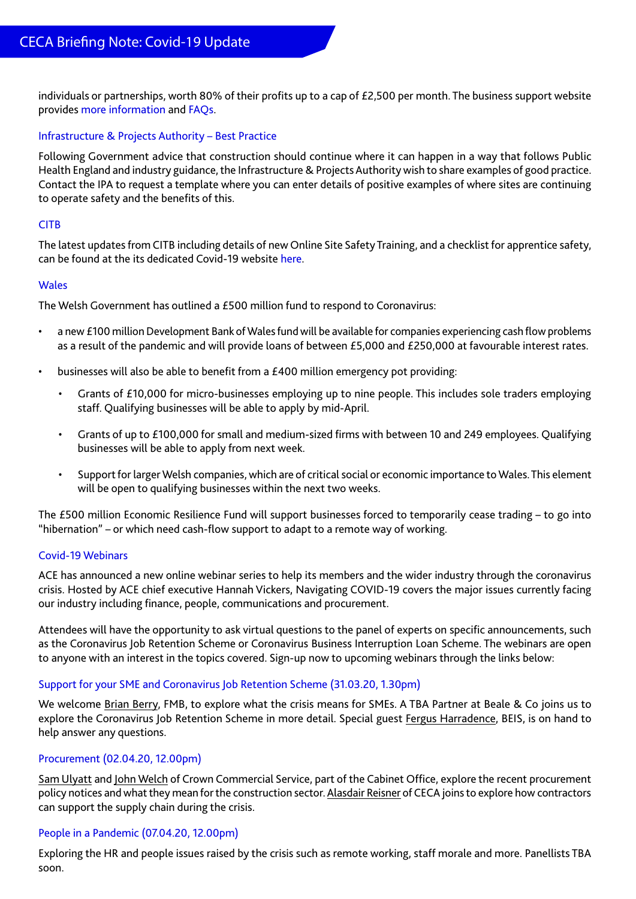individuals or partnerships, worth 80% of their profits up to a cap of  $E2,500$  per month. The business support website provides [more information](https://www.businesssupport.gov.uk/self-employment-income-support-scheme/) and [FAQs](https://www.businesssupport.gov.uk/self-employment-income-support-scheme-faqs/).

#### Infrastructure & Projects Authority – Best Practice

Following Government advice that construction should continue where it can happen in a way that follows Public Health England and industry guidance, the Infrastructure & Projects Authority wish to share examples of good practice. Contact the IPA to request a template where you can enter details of positive examples of where sites are continuing to operate safety and the benefits of this.

#### **CITB**

The latest updates from CITB including details of new Online Site Safety Training, and a checklist for apprentice safety, can be found at the its dedicated Covid-19 website [here.](https://www.citb.co.uk/urgent-messages)

#### **Wales**

The Welsh Government has outlined a £500 million fund to respond to Coronavirus:

- a new £100 million Development Bank of Wales fund will be available for companies experiencing cash flow problems as a result of the pandemic and will provide loans of between £5,000 and £250,000 at favourable interest rates.
- businesses will also be able to benefit from a £400 million emergency pot providing:
	- Grants of £10,000 for micro-businesses employing up to nine people. This includes sole traders employing staff. Qualifying businesses will be able to apply by mid-April.
	- Grants of up to £100,000 for small and medium-sized firms with between 10 and 249 employees. Qualifying businesses will be able to apply from next week.
	- Support for larger Welsh companies, which are of critical social or economic importance to Wales. This element will be open to qualifying businesses within the next two weeks.

The £500 million Economic Resilience Fund will support businesses forced to temporarily cease trading – to go into "hibernation" – or which need cash-flow support to adapt to a remote way of working.

#### Covid-19 Webinars

ACE has announced a new online webinar series to help its members and the wider industry through the coronavirus crisis. Hosted by ACE chief executive Hannah Vickers, Navigating COVID-19 covers the major issues currently facing our industry including finance, people, communications and procurement.

Attendees will have the opportunity to ask virtual questions to the panel of experts on specific announcements, such as the Coronavirus Job Retention Scheme or Coronavirus Business Interruption Loan Scheme. The webinars are open to anyone with an interest in the topics covered. Sign-up now to upcoming webinars through the links below:

#### [Support for your SME and Coronavirus Job Retention Scheme \(31.03.20, 1.30pm\)](https://attendee.gotowebinar.com/register/3624341475134155277)

We welcome Brian Berry, FMB, to explore what the crisis means for SMEs. A TBA Partner at Beale & Co joins us to explore the Coronavirus Job Retention Scheme in more detail. Special guest Fergus Harradence, BEIS, is on hand to help answer any questions.

#### [Procurement \(02.04.20, 12.00pm\)](https://attendee.gotowebinar.com/register/5847359372939147789)

Sam Ulyatt and John Welch of Crown Commercial Service, part of the Cabinet Office, explore the recent procurement policy notices and what they mean for the construction sector. Alasdair Reisner of CECA joins to explore how contractors can support the supply chain during the crisis.

#### [People in a Pandemic \(07.04.20, 12.00pm\)](https://register.gotowebinar.com/register/6709861373743398669)

Exploring the HR and people issues raised by the crisis such as remote working, staff morale and more. Panellists TBA soon.